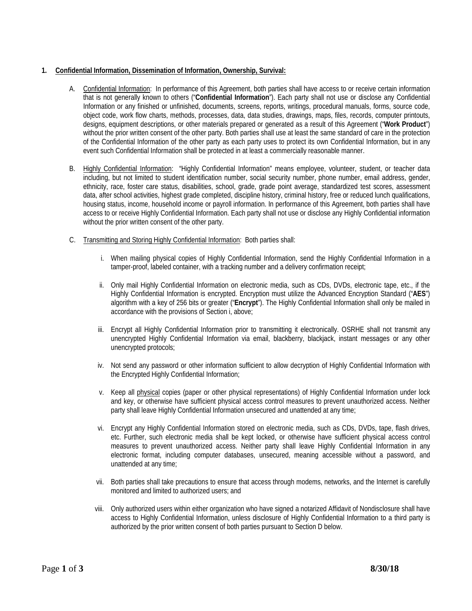## **1. Confidential Information, Dissemination of Information, Ownership, Survival:**

- A. Confidential Information: In performance of this Agreement, both parties shall have access to or receive certain information that is not generally known to others ("**Confidential Information**"). Each party shall not use or disclose any Confidential Information or any finished or unfinished, documents, screens, reports, writings, procedural manuals, forms, source code, object code, work flow charts, methods, processes, data, data studies, drawings, maps, files, records, computer printouts, designs, equipment descriptions, or other materials prepared or generated as a result of this Agreement ("**Work Product**") without the prior written consent of the other party. Both parties shall use at least the same standard of care in the protection of the Confidential Information of the other party as each party uses to protect its own Confidential Information, but in any event such Confidential Information shall be protected in at least a commercially reasonable manner.
- B. Highly Confidential Information: "Highly Confidential Information" means employee, volunteer, student, or teacher data including, but not limited to student identification number, social security number, phone number, email address, gender, ethnicity, race, foster care status, disabilities, school, grade, grade point average, standardized test scores, assessment data, after school activities, highest grade completed, discipline history, criminal history, free or reduced lunch qualifications, housing status, income, household income or payroll information. In performance of this Agreement, both parties shall have access to or receive Highly Confidential Information. Each party shall not use or disclose any Highly Confidential information without the prior written consent of the other party.
- C. Transmitting and Storing Highly Confidential Information: Both parties shall:
	- i. When mailing physical copies of Highly Confidential Information, send the Highly Confidential Information in a tamper-proof, labeled container, with a tracking number and a delivery confirmation receipt;
	- ii. Only mail Highly Confidential Information on electronic media, such as CDs, DVDs, electronic tape, etc., if the Highly Confidential Information is encrypted. Encryption must utilize the Advanced Encryption Standard ("**AES**") algorithm with a key of 256 bits or greater ("**Encrypt**"). The Highly Confidential Information shall only be mailed in accordance with the provisions of Section i, above;
	- iii. Encrypt all Highly Confidential Information prior to transmitting it electronically. OSRHE shall not transmit any unencrypted Highly Confidential Information via email, blackberry, blackjack, instant messages or any other unencrypted protocols;
	- iv. Not send any password or other information sufficient to allow decryption of Highly Confidential Information with the Encrypted Highly Confidential Information;
	- v. Keep all physical copies (paper or other physical representations) of Highly Confidential Information under lock and key, or otherwise have sufficient physical access control measures to prevent unauthorized access. Neither party shall leave Highly Confidential Information unsecured and unattended at any time;
	- etc. Further, such electronic media shall be kept locked, or otherwise have sufficient physical access control vi. Encrypt any Highly Confidential Information stored on electronic media, such as CDs, DVDs, tape, flash drives, measures to prevent unauthorized access. Neither party shall leave Highly Confidential Information in any electronic format, including computer databases, unsecured, meaning accessible without a password, and unattended at any time;
	- vii. Both parties shall take precautions to ensure that access through modems, networks, and the Internet is carefully monitored and limited to authorized users; and
	- viii. Only authorized users within either organization who have signed a notarized Affidavit of Nondisclosure shall have access to Highly Confidential Information, unless disclosure of Highly Confidential Information to a third party is authorized by the prior written consent of both parties pursuant to Section D below.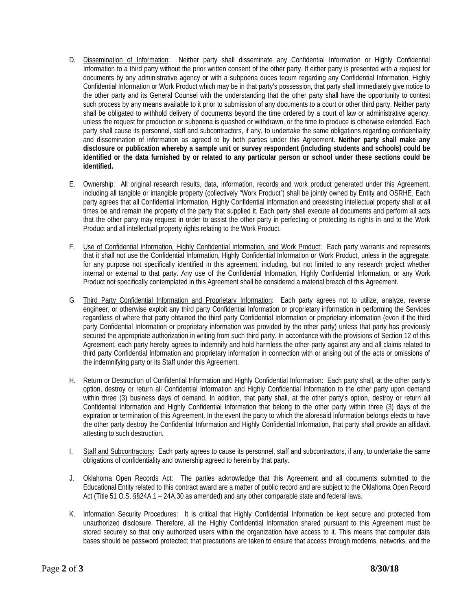- D. Dissemination of Information: Neither party shall disseminate any Confidential Information or Highly Confidential Confidential Information or Work Product which may be in that party's possession, that party shall immediately give notice to Information to a third party without the prior written consent of the other party. If either party is presented with a request for documents by any administrative agency or with a subpoena duces tecum regarding any Confidential Information, Highly the other party and its General Counsel with the understanding that the other party shall have the opportunity to contest such process by any means available to it prior to submission of any documents to a court or other third party. Neither party shall be obligated to withhold delivery of documents beyond the time ordered by a court of law or administrative agency, unless the request for production or subpoena is quashed or withdrawn, or the time to produce is otherwise extended. Each party shall cause its personnel, staff and subcontractors, if any, to undertake the same obligations regarding confidentiality and dissemination of information as agreed to by both parties under this Agreement. **Neither party shall make any disclosure or publication whereby a sample unit or survey respondent (including students and schools) could be identified or the data furnished by or related to any particular person or school under these sections could be identified.**
- E. Ownership: All original research results, data, information, records and work product generated under this Agreement, including all tangible or intangible property (collectively "Work Product") shall be jointly owned by Entity and OSRHE. Each party agrees that all Confidential Information, Highly Confidential Information and preexisting intellectual property shall at all times be and remain the property of the party that supplied it. Each party shall execute all documents and perform all acts that the other party may request in order to assist the other party in perfecting or protecting its rights in and to the Work Product and all intellectual property rights relating to the Work Product.
- that it shall not use the Confidential Information, Highly Confidential Information or Work Product, unless in the aggregate, for any purpose not specifically identified in this agreement, including, but not limited to any research project whether internal or external to that party. Any use of the Confidential Information, Highly Confidential Information, or any Work F. Use of Confidential Information, Highly Confidential Information, and Work Product: Each party warrants and represents Product not specifically contemplated in this Agreement shall be considered a material breach of this Agreement.
- G. Third Party Confidential Information and Proprietary Information: Each party agrees not to utilize, analyze, reverse engineer, or otherwise exploit any third party Confidential Information or proprietary information in performing the Services regardless of where that party obtained the third party Confidential Information or proprietary information (even if the third party Confidential Information or proprietary information was provided by the other party) unless that party has previously secured the appropriate authorization in writing from such third party. In accordance with the provisions of Section 12 of this Agreement, each party hereby agrees to indemnify and hold harmless the other party against any and all claims related to third party Confidential Information and proprietary information in connection with or arising out of the acts or omissions of the indemnifying party or its Staff under this Agreement.
- within three (3) business days of demand. In addition, that party shall, at the other party's option, destroy or return all Confidential Information and Highly Confidential Information that belong to the other party within three (3) days of the H. Return or Destruction of Confidential Information and Highly Confidential Information: Each party shall, at the other party's option, destroy or return all Confidential Information and Highly Confidential Information to the other party upon demand expiration or termination of this Agreement. In the event the party to which the aforesaid information belongs elects to have the other party destroy the Confidential Information and Highly Confidential Information, that party shall provide an affidavit attesting to such destruction.
- I. Staff and Subcontractors: Each party agrees to cause its personnel, staff and subcontractors, if any, to undertake the same obligations of confidentiality and ownership agreed to herein by that party.
- J. Oklahoma Open Records Act: The parties acknowledge that this Agreement and all documents submitted to the Educational Entity related to this contract award are a matter of public record and are subject to the Oklahoma Open Record Act (Title 51 O.S. §§24A.1 – 24A.30 as amended) and any other comparable state and federal laws.
- K. Information Security Procedures: It is critical that Highly Confidential Information be kept secure and protected from unauthorized disclosure. Therefore, all the Highly Confidential Information shared pursuant to this Agreement must be stored securely so that only authorized users within the organization have access to it. This means that computer data bases should be password protected; that precautions are taken to ensure that access through modems, networks, and the